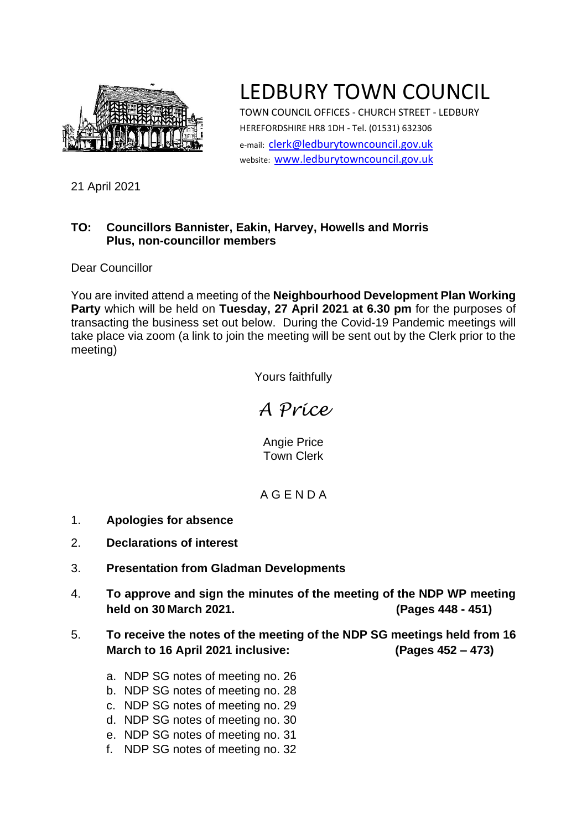

# LEDBURY TOWN COUNCIL

TOWN COUNCIL OFFICES - CHURCH STREET - LEDBURY HEREFORDSHIRE HR8 1DH - Tel. (01531) 632306 e-mail: [clerk@ledburytowncouncil.gov.uk](mailto:clerk@ledburytowncouncil.gov.uk) website: [www.ledburytowncouncil.gov.uk](http://www.ledburytowncouncil.gov.uk/)

21 April 2021

### **TO: Councillors Bannister, Eakin, Harvey, Howells and Morris Plus, non-councillor members**

Dear Councillor

You are invited attend a meeting of the **Neighbourhood Development Plan Working Party** which will be held on **Tuesday, 27 April 2021 at 6.30 pm** for the purposes of transacting the business set out below. During the Covid-19 Pandemic meetings will take place via zoom (a link to join the meeting will be sent out by the Clerk prior to the meeting)

Yours faithfully

*A Price*

Angie Price Town Clerk

## A G E N D A

- 1. **Apologies for absence**
- 2. **Declarations of interest**
- 3. **Presentation from Gladman Developments**
- 4. **To approve and sign the minutes of the meeting of the NDP WP meeting held on 30 March 2021. (Pages 448 - 451)**
- 5. **To receive the notes of the meeting of the NDP SG meetings held from 16 March to 16 April 2021 inclusive: (Pages 452 – 473)**
	- a. NDP SG notes of meeting no. 26
	- b. NDP SG notes of meeting no. 28
	- c. NDP SG notes of meeting no. 29
	- d. NDP SG notes of meeting no. 30
	- e. NDP SG notes of meeting no. 31
	- f. NDP SG notes of meeting no. 32